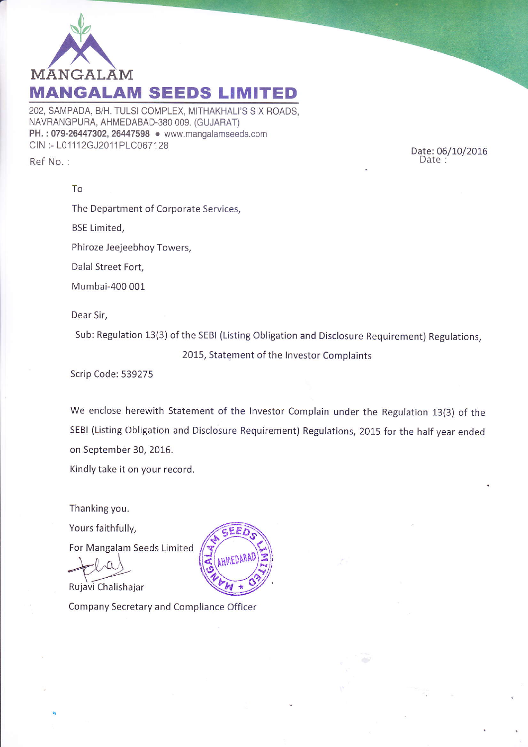

202, SAMPADA, B/H. TULSI COMPLEX, MITHAKHALI'S SIX ROADS, NAVRANGPURA, AHMEDABAD-380 009. (cUJARAT) PH.: 079-26447302, 26447598 . www.mangalamseeds.com CIN :- L01112GJ2011PLC067128 Ref No. :

Date: 06/10/2016 Date:

The Department of Corporate Services, BSE Limited, Phiroze Jeejeebhoy Towers, Dalal Street Fort, Mumbai-400 001 Dear Sir,

Sub: Regulation 13(3) of the SEBI (Listing Obligation and Disclosure Requirement) Regulations,

2015, Statement of the Investor Complaints

Scrip Code: 539275

TO

we enclose herewith statement of the lnvestor complain under the Regulation 13(3) of the sEBl (Listing obligation and Disclosure Requirement) Regulations, 2015 for the half year ended on September 30, 2016.

Kindly take it on your record.

Thanking you.

Yours faithfully,

For Mangalam Seeds Limited

Rujavi Chalishajar

Company Secretary and Compliance Officer